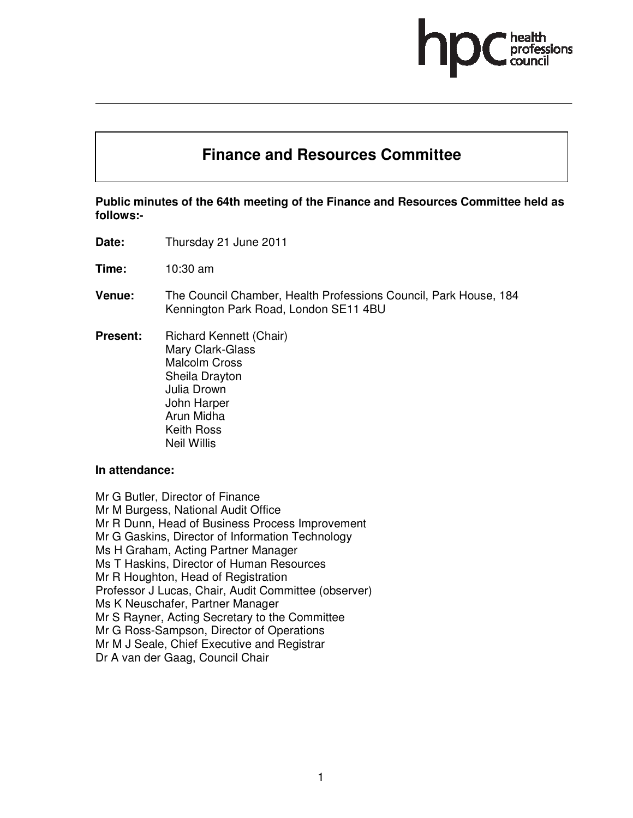

# **Finance and Resources Committee**

**Public minutes of the 64th meeting of the Finance and Resources Committee held as follows:-** 

**Date:** Thursday 21 June 2011

**Time:** 10:30 am

- **Venue:** The Council Chamber, Health Professions Council, Park House, 184 Kennington Park Road, London SE11 4BU
- **Present:** Richard Kennett (Chair) Mary Clark-Glass Malcolm Cross Sheila Drayton Julia Drown John Harper Arun Midha Keith Ross Neil Willis

#### **In attendance:**

Mr G Butler, Director of Finance Mr M Burgess, National Audit Office Mr R Dunn, Head of Business Process Improvement Mr G Gaskins, Director of Information Technology Ms H Graham, Acting Partner Manager Ms T Haskins, Director of Human Resources Mr R Houghton, Head of Registration Professor J Lucas, Chair, Audit Committee (observer) Ms K Neuschafer, Partner Manager Mr S Rayner, Acting Secretary to the Committee Mr G Ross-Sampson, Director of Operations Mr M J Seale, Chief Executive and Registrar Dr A van der Gaag, Council Chair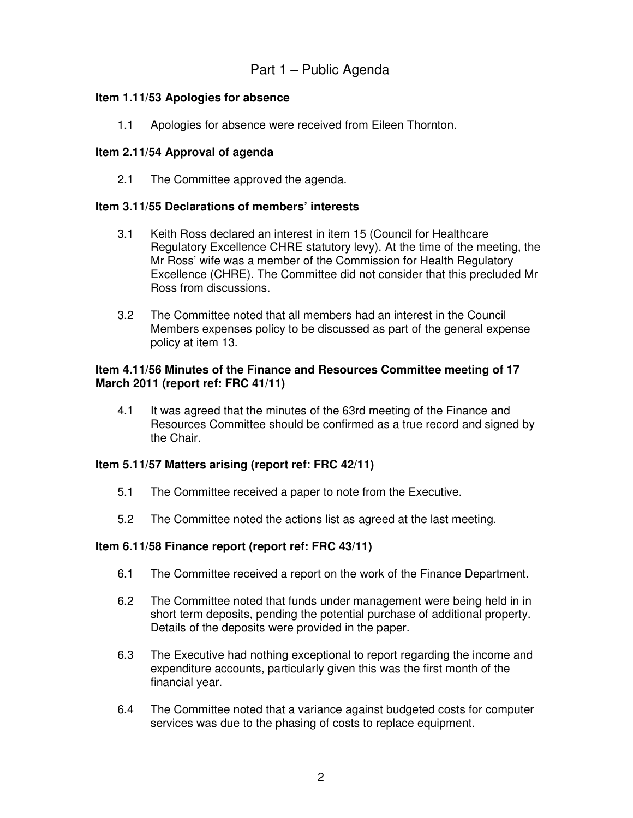# Part 1 – Public Agenda

# **Item 1.11/53 Apologies for absence**

1.1 Apologies for absence were received from Eileen Thornton.

# **Item 2.11/54 Approval of agenda**

2.1 The Committee approved the agenda.

#### **Item 3.11/55 Declarations of members' interests**

- 3.1 Keith Ross declared an interest in item 15 (Council for Healthcare Regulatory Excellence CHRE statutory levy). At the time of the meeting, the Mr Ross' wife was a member of the Commission for Health Regulatory Excellence (CHRE). The Committee did not consider that this precluded Mr Ross from discussions.
- 3.2 The Committee noted that all members had an interest in the Council Members expenses policy to be discussed as part of the general expense policy at item 13.

#### **Item 4.11/56 Minutes of the Finance and Resources Committee meeting of 17 March 2011 (report ref: FRC 41/11)**

4.1 It was agreed that the minutes of the 63rd meeting of the Finance and Resources Committee should be confirmed as a true record and signed by the Chair.

#### **Item 5.11/57 Matters arising (report ref: FRC 42/11)**

- 5.1 The Committee received a paper to note from the Executive.
- 5.2 The Committee noted the actions list as agreed at the last meeting.

#### **Item 6.11/58 Finance report (report ref: FRC 43/11)**

- 6.1 The Committee received a report on the work of the Finance Department.
- 6.2 The Committee noted that funds under management were being held in in short term deposits, pending the potential purchase of additional property. Details of the deposits were provided in the paper.
- 6.3 The Executive had nothing exceptional to report regarding the income and expenditure accounts, particularly given this was the first month of the financial year.
- 6.4 The Committee noted that a variance against budgeted costs for computer services was due to the phasing of costs to replace equipment.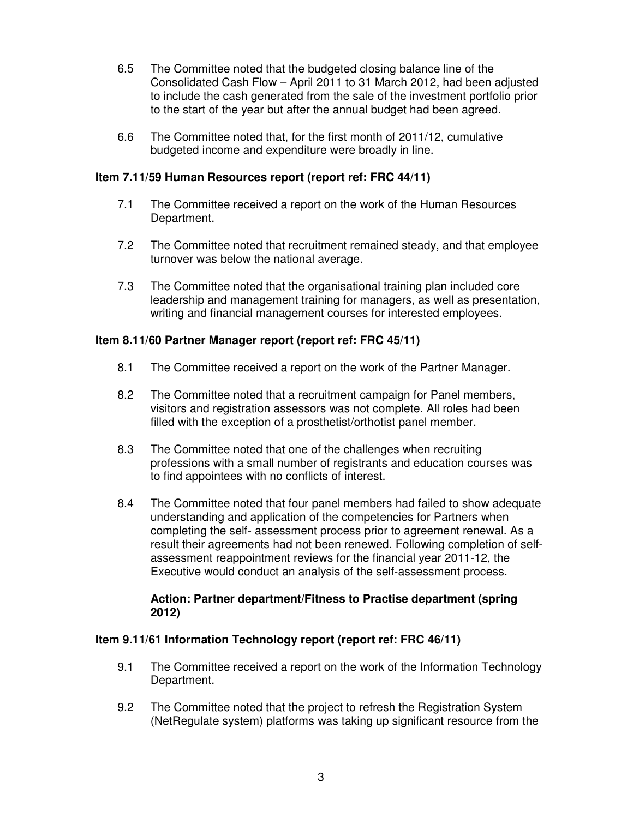- 6.5 The Committee noted that the budgeted closing balance line of the Consolidated Cash Flow – April 2011 to 31 March 2012, had been adjusted to include the cash generated from the sale of the investment portfolio prior to the start of the year but after the annual budget had been agreed.
- 6.6 The Committee noted that, for the first month of 2011/12, cumulative budgeted income and expenditure were broadly in line.

#### **Item 7.11/59 Human Resources report (report ref: FRC 44/11)**

- 7.1 The Committee received a report on the work of the Human Resources Department.
- 7.2 The Committee noted that recruitment remained steady, and that employee turnover was below the national average.
- 7.3 The Committee noted that the organisational training plan included core leadership and management training for managers, as well as presentation, writing and financial management courses for interested employees.

#### **Item 8.11/60 Partner Manager report (report ref: FRC 45/11)**

- 8.1 The Committee received a report on the work of the Partner Manager.
- 8.2 The Committee noted that a recruitment campaign for Panel members, visitors and registration assessors was not complete. All roles had been filled with the exception of a prosthetist/orthotist panel member.
- 8.3 The Committee noted that one of the challenges when recruiting professions with a small number of registrants and education courses was to find appointees with no conflicts of interest.
- 8.4 The Committee noted that four panel members had failed to show adequate understanding and application of the competencies for Partners when completing the self- assessment process prior to agreement renewal. As a result their agreements had not been renewed. Following completion of selfassessment reappointment reviews for the financial year 2011-12, the Executive would conduct an analysis of the self-assessment process.

#### **Action: Partner department/Fitness to Practise department (spring 2012)**

#### **Item 9.11/61 Information Technology report (report ref: FRC 46/11)**

- 9.1 The Committee received a report on the work of the Information Technology Department.
- 9.2 The Committee noted that the project to refresh the Registration System (NetRegulate system) platforms was taking up significant resource from the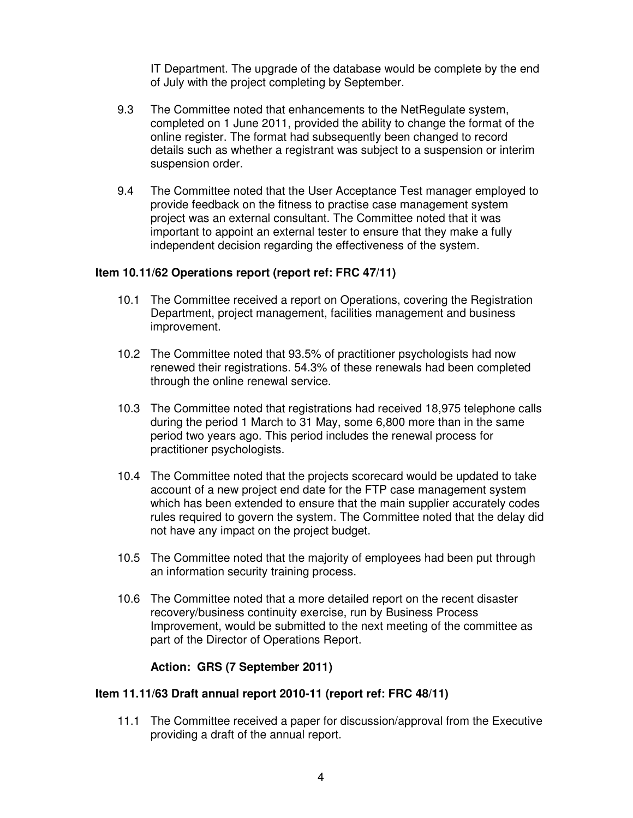IT Department. The upgrade of the database would be complete by the end of July with the project completing by September.

- 9.3 The Committee noted that enhancements to the NetRegulate system, completed on 1 June 2011, provided the ability to change the format of the online register. The format had subsequently been changed to record details such as whether a registrant was subject to a suspension or interim suspension order.
- 9.4 The Committee noted that the User Acceptance Test manager employed to provide feedback on the fitness to practise case management system project was an external consultant. The Committee noted that it was important to appoint an external tester to ensure that they make a fully independent decision regarding the effectiveness of the system.

#### **Item 10.11/62 Operations report (report ref: FRC 47/11)**

- 10.1 The Committee received a report on Operations, covering the Registration Department, project management, facilities management and business improvement.
- 10.2 The Committee noted that 93.5% of practitioner psychologists had now renewed their registrations. 54.3% of these renewals had been completed through the online renewal service.
- 10.3 The Committee noted that registrations had received 18,975 telephone calls during the period 1 March to 31 May, some 6,800 more than in the same period two years ago. This period includes the renewal process for practitioner psychologists.
- 10.4 The Committee noted that the projects scorecard would be updated to take account of a new project end date for the FTP case management system which has been extended to ensure that the main supplier accurately codes rules required to govern the system. The Committee noted that the delay did not have any impact on the project budget.
- 10.5 The Committee noted that the majority of employees had been put through an information security training process.
- 10.6 The Committee noted that a more detailed report on the recent disaster recovery/business continuity exercise, run by Business Process Improvement, would be submitted to the next meeting of the committee as part of the Director of Operations Report.

#### **Action: GRS (7 September 2011)**

#### **Item 11.11/63 Draft annual report 2010-11 (report ref: FRC 48/11)**

11.1 The Committee received a paper for discussion/approval from the Executive providing a draft of the annual report.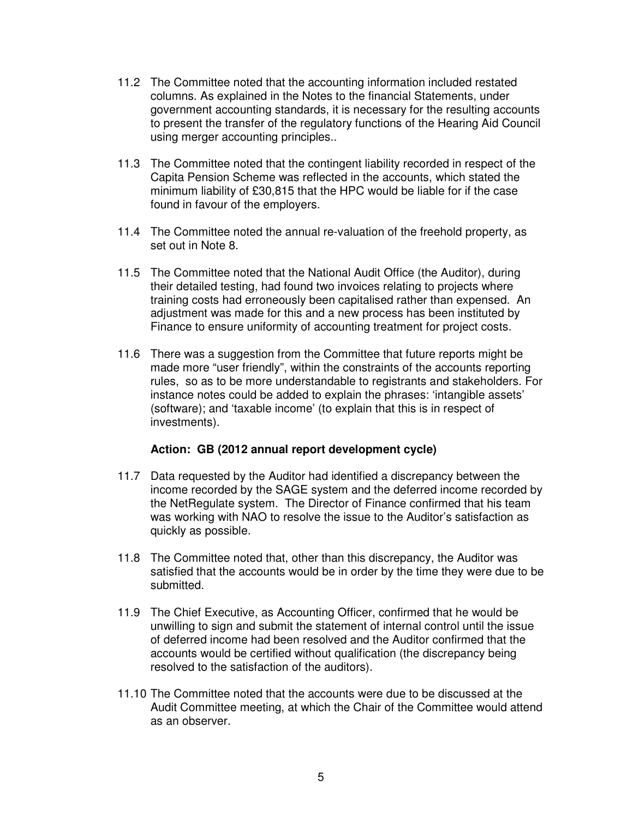- 11.2 The Committee noted that the accounting information included restated columns. As explained in the Notes to the financial Statements, under government accounting standards, it is necessary for the resulting accounts to present the transfer of the regulatory functions of the Hearing Aid Council using merger accounting principles..
- 11.3 The Committee noted that the contingent liability recorded in respect of the Capita Pension Scheme was reflected in the accounts, which stated the minimum liability of £30,815 that the HPC would be liable for if the case found in favour of the employers.
- 11.4 The Committee noted the annual re-valuation of the freehold property, as set out in Note 8.
- 11.5 The Committee noted that the National Audit Office (the Auditor), during their detailed testing, had found two invoices relating to projects where training costs had erroneously been capitalised rather than expensed. An adjustment was made for this and a new process has been instituted by Finance to ensure uniformity of accounting treatment for project costs.
- 11.6 There was a suggestion from the Committee that future reports might be made more "user friendly", within the constraints of the accounts reporting rules, so as to be more understandable to registrants and stakeholders. For instance notes could be added to explain the phrases: 'intangible assets' (software); and 'taxable income' (to explain that this is in respect of investments).

#### **Action: GB (2012 annual report development cycle)**

- 11.7 Data requested by the Auditor had identified a discrepancy between the income recorded by the SAGE system and the deferred income recorded by the NetRegulate system. The Director of Finance confirmed that his team was working with NAO to resolve the issue to the Auditor's satisfaction as quickly as possible.
- 11.8 The Committee noted that, other than this discrepancy, the Auditor was satisfied that the accounts would be in order by the time they were due to be submitted.
- 11.9 The Chief Executive, as Accounting Officer, confirmed that he would be unwilling to sign and submit the statement of internal control until the issue of deferred income had been resolved and the Auditor confirmed that the accounts would be certified without qualification (the discrepancy being resolved to the satisfaction of the auditors).
- 11.10 The Committee noted that the accounts were due to be discussed at the Audit Committee meeting, at which the Chair of the Committee would attend as an observer.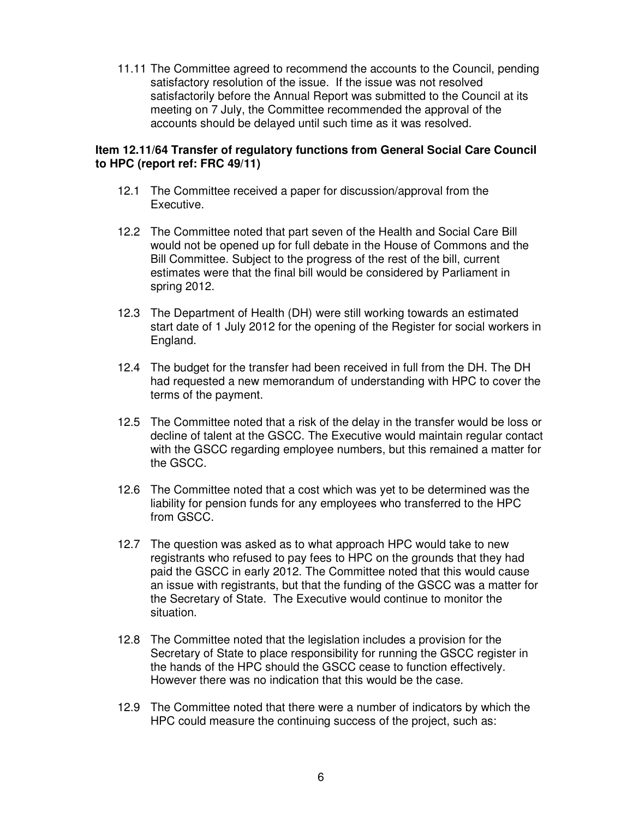11.11 The Committee agreed to recommend the accounts to the Council, pending satisfactory resolution of the issue. If the issue was not resolved satisfactorily before the Annual Report was submitted to the Council at its meeting on 7 July, the Committee recommended the approval of the accounts should be delayed until such time as it was resolved.

# **Item 12.11/64 Transfer of regulatory functions from General Social Care Council to HPC (report ref: FRC 49/11)**

- 12.1 The Committee received a paper for discussion/approval from the Executive.
- 12.2 The Committee noted that part seven of the Health and Social Care Bill would not be opened up for full debate in the House of Commons and the Bill Committee. Subject to the progress of the rest of the bill, current estimates were that the final bill would be considered by Parliament in spring 2012.
- 12.3 The Department of Health (DH) were still working towards an estimated start date of 1 July 2012 for the opening of the Register for social workers in England.
- 12.4 The budget for the transfer had been received in full from the DH. The DH had requested a new memorandum of understanding with HPC to cover the terms of the payment.
- 12.5 The Committee noted that a risk of the delay in the transfer would be loss or decline of talent at the GSCC. The Executive would maintain regular contact with the GSCC regarding employee numbers, but this remained a matter for the GSCC.
- 12.6 The Committee noted that a cost which was yet to be determined was the liability for pension funds for any employees who transferred to the HPC from GSCC.
- 12.7 The question was asked as to what approach HPC would take to new registrants who refused to pay fees to HPC on the grounds that they had paid the GSCC in early 2012. The Committee noted that this would cause an issue with registrants, but that the funding of the GSCC was a matter for the Secretary of State. The Executive would continue to monitor the situation.
- 12.8 The Committee noted that the legislation includes a provision for the Secretary of State to place responsibility for running the GSCC register in the hands of the HPC should the GSCC cease to function effectively. However there was no indication that this would be the case.
- 12.9 The Committee noted that there were a number of indicators by which the HPC could measure the continuing success of the project, such as: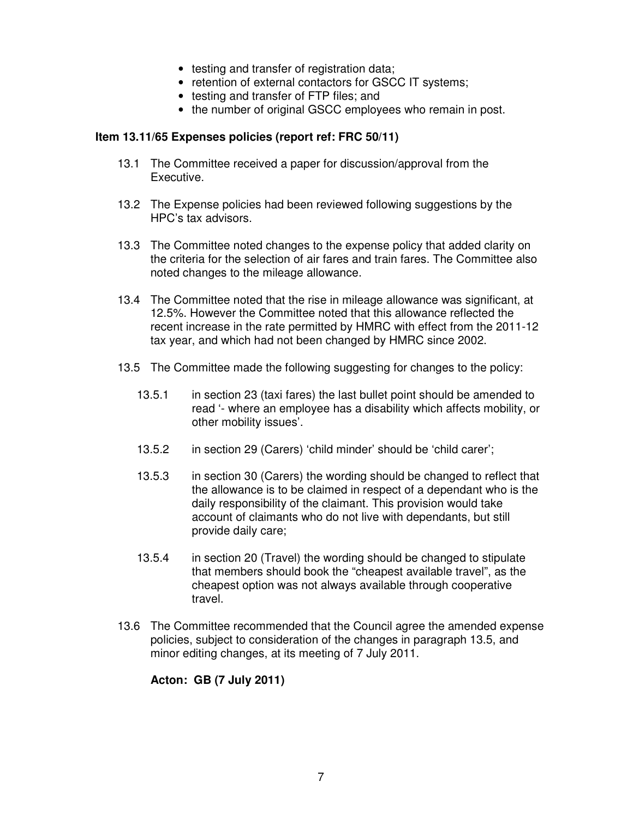- testing and transfer of registration data;
- retention of external contactors for GSCC IT systems;
- testing and transfer of FTP files; and
- the number of original GSCC employees who remain in post.

#### **Item 13.11/65 Expenses policies (report ref: FRC 50/11)**

- 13.1 The Committee received a paper for discussion/approval from the Executive.
- 13.2 The Expense policies had been reviewed following suggestions by the HPC's tax advisors.
- 13.3 The Committee noted changes to the expense policy that added clarity on the criteria for the selection of air fares and train fares. The Committee also noted changes to the mileage allowance.
- 13.4 The Committee noted that the rise in mileage allowance was significant, at 12.5%. However the Committee noted that this allowance reflected the recent increase in the rate permitted by HMRC with effect from the 2011-12 tax year, and which had not been changed by HMRC since 2002.
- 13.5 The Committee made the following suggesting for changes to the policy:
	- 13.5.1 in section 23 (taxi fares) the last bullet point should be amended to read '- where an employee has a disability which affects mobility, or other mobility issues'.
	- 13.5.2 in section 29 (Carers) 'child minder' should be 'child carer';
	- 13.5.3 in section 30 (Carers) the wording should be changed to reflect that the allowance is to be claimed in respect of a dependant who is the daily responsibility of the claimant. This provision would take account of claimants who do not live with dependants, but still provide daily care;
	- 13.5.4 in section 20 (Travel) the wording should be changed to stipulate that members should book the "cheapest available travel", as the cheapest option was not always available through cooperative travel.
- 13.6 The Committee recommended that the Council agree the amended expense policies, subject to consideration of the changes in paragraph 13.5, and minor editing changes, at its meeting of 7 July 2011.

#### **Acton: GB (7 July 2011)**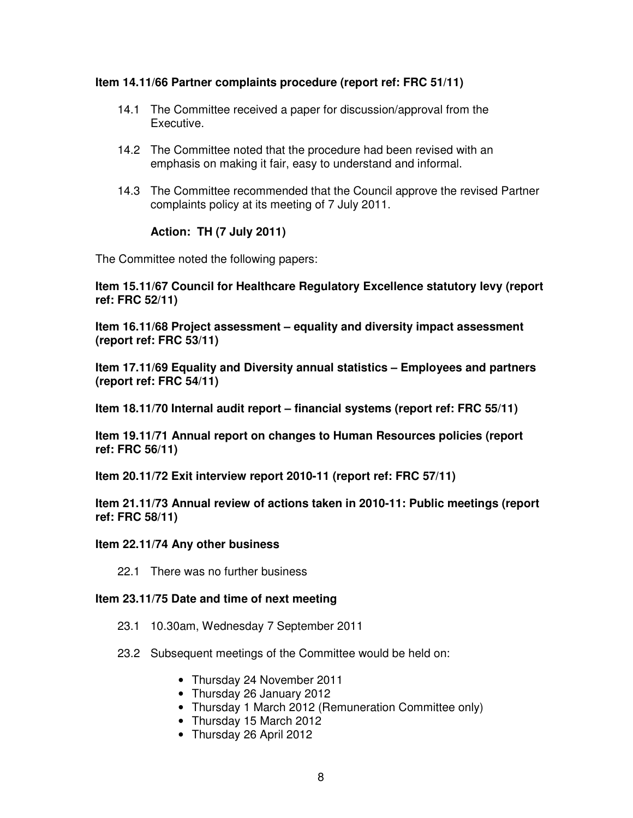#### **Item 14.11/66 Partner complaints procedure (report ref: FRC 51/11)**

- 14.1 The Committee received a paper for discussion/approval from the Executive.
- 14.2 The Committee noted that the procedure had been revised with an emphasis on making it fair, easy to understand and informal.
- 14.3 The Committee recommended that the Council approve the revised Partner complaints policy at its meeting of 7 July 2011.

# **Action: TH (7 July 2011)**

The Committee noted the following papers:

**Item 15.11/67 Council for Healthcare Regulatory Excellence statutory levy (report ref: FRC 52/11)** 

**Item 16.11/68 Project assessment – equality and diversity impact assessment (report ref: FRC 53/11)** 

**Item 17.11/69 Equality and Diversity annual statistics – Employees and partners (report ref: FRC 54/11)** 

**Item 18.11/70 Internal audit report – financial systems (report ref: FRC 55/11)** 

**Item 19.11/71 Annual report on changes to Human Resources policies (report ref: FRC 56/11)** 

**Item 20.11/72 Exit interview report 2010-11 (report ref: FRC 57/11)** 

**Item 21.11/73 Annual review of actions taken in 2010-11: Public meetings (report ref: FRC 58/11)** 

#### **Item 22.11/74 Any other business**

22.1 There was no further business

#### **Item 23.11/75 Date and time of next meeting**

- 23.1 10.30am, Wednesday 7 September 2011
- 23.2 Subsequent meetings of the Committee would be held on:
	- Thursday 24 November 2011
	- Thursday 26 January 2012
	- Thursday 1 March 2012 (Remuneration Committee only)
	- Thursday 15 March 2012
	- Thursday 26 April 2012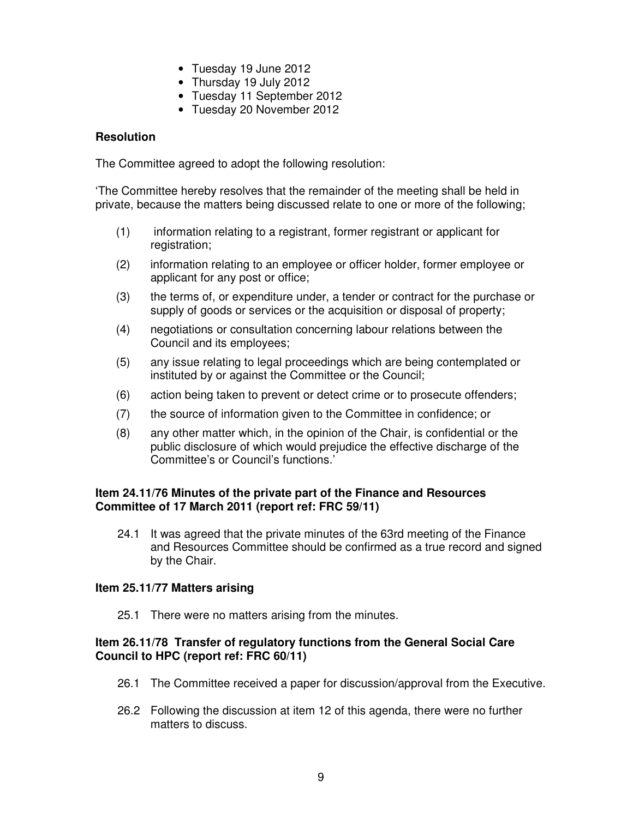- Tuesday 19 June 2012
- Thursday 19 July 2012
- Tuesday 11 September 2012
- Tuesday 20 November 2012

#### **Resolution**

The Committee agreed to adopt the following resolution:

'The Committee hereby resolves that the remainder of the meeting shall be held in private, because the matters being discussed relate to one or more of the following;

- (1) information relating to a registrant, former registrant or applicant for registration;
- (2) information relating to an employee or officer holder, former employee or applicant for any post or office;
- (3) the terms of, or expenditure under, a tender or contract for the purchase or supply of goods or services or the acquisition or disposal of property;
- (4) negotiations or consultation concerning labour relations between the Council and its employees;
- (5) any issue relating to legal proceedings which are being contemplated or instituted by or against the Committee or the Council;
- (6) action being taken to prevent or detect crime or to prosecute offenders;
- (7) the source of information given to the Committee in confidence; or
- (8) any other matter which, in the opinion of the Chair, is confidential or the public disclosure of which would prejudice the effective discharge of the Committee's or Council's functions.'

#### **Item 24.11/76 Minutes of the private part of the Finance and Resources Committee of 17 March 2011 (report ref: FRC 59/11)**

24.1 It was agreed that the private minutes of the 63rd meeting of the Finance and Resources Committee should be confirmed as a true record and signed by the Chair.

#### **Item 25.11/77 Matters arising**

25.1 There were no matters arising from the minutes.

#### **Item 26.11/78 Transfer of regulatory functions from the General Social Care Council to HPC (report ref: FRC 60/11)**

- 26.1 The Committee received a paper for discussion/approval from the Executive.
- 26.2 Following the discussion at item 12 of this agenda, there were no further matters to discuss.